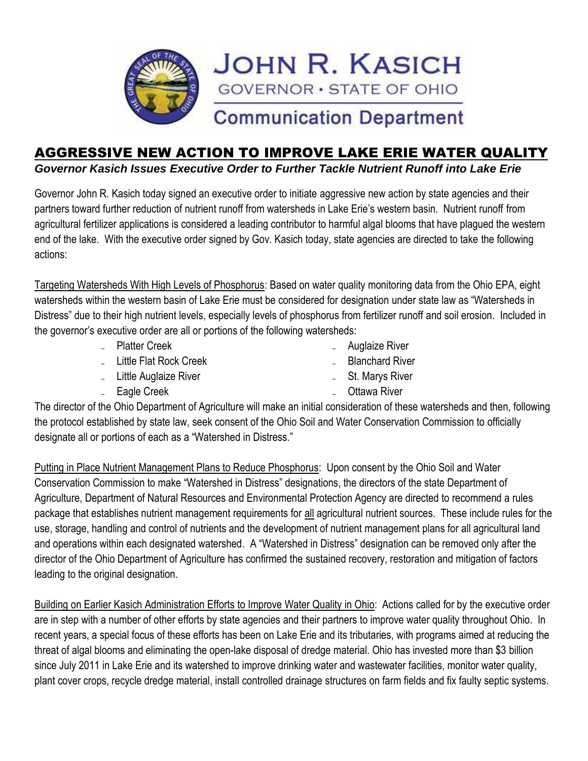

## AGGRESSIVE NEW ACTION TO IMPROVE LAKE ERIE WATER QUALITY

*Governor Kasich Issues Executive Order to Further Tackle Nutrient Runoff into Lake Erie*

Governor John R. Kasich today signed an executive order to initiate aggressive new action by state agencies and their partners toward further reduction of nutrient runoff from watersheds in Lake Erie's western basin. Nutrient runoff from agricultural fertilizer applications is considered a leading contributor to harmful algal blooms that have plagued the western end of the lake. With the executive order signed by Gov. Kasich today, state agencies are directed to take the following actions:

Targeting Watersheds With High Levels of Phosphorus: Based on water quality monitoring data from the Ohio EPA, eight watersheds within the western basin of Lake Erie must be considered for designation under state law as "Watersheds in Distress" due to their high nutrient levels, especially levels of phosphorus from fertilizer runoff and soil erosion. Included in the governor's executive order are all or portions of the following watersheds:

˗ Platter Creek

- Auglaize River

˗ Little Flat Rock Creek

- Blanchard River

- Little Auglaize River

˗ St. Marys River

Eagle Creek

**Ottawa River** 

The director of the Ohio Department of Agriculture will make an initial consideration of these watersheds and then, following the protocol established by state law, seek consent of the Ohio Soil and Water Conservation Commission to officially designate all or portions of each as a "Watershed in Distress."

Putting in Place Nutrient Management Plans to Reduce Phosphorus: Upon consent by the Ohio Soil and Water Conservation Commission to make "Watershed in Distress" designations, the directors of the state Department of Agriculture, Department of Natural Resources and Environmental Protection Agency are directed to recommend a rules package that establishes nutrient management requirements for all agricultural nutrient sources. These include rules for the use, storage, handling and control of nutrients and the development of nutrient management plans for all agricultural land and operations within each designated watershed. A "Watershed in Distress" designation can be removed only after the director of the Ohio Department of Agriculture has confirmed the sustained recovery, restoration and mitigation of factors leading to the original designation.

Building on Earlier Kasich Administration Efforts to Improve Water Quality in Ohio: Actions called for by the executive order are in step with a number of other efforts by state agencies and their partners to improve water quality throughout Ohio. In recent years, a special focus of these efforts has been on Lake Erie and its tributaries, with programs aimed at reducing the threat of algal blooms and eliminating the open-lake disposal of dredge material. Ohio has invested more than \$3 billion since July 2011 in Lake Erie and its watershed to improve drinking water and wastewater facilities, monitor water quality, plant cover crops, recycle dredge material, install controlled drainage structures on farm fields and fix faulty septic systems.